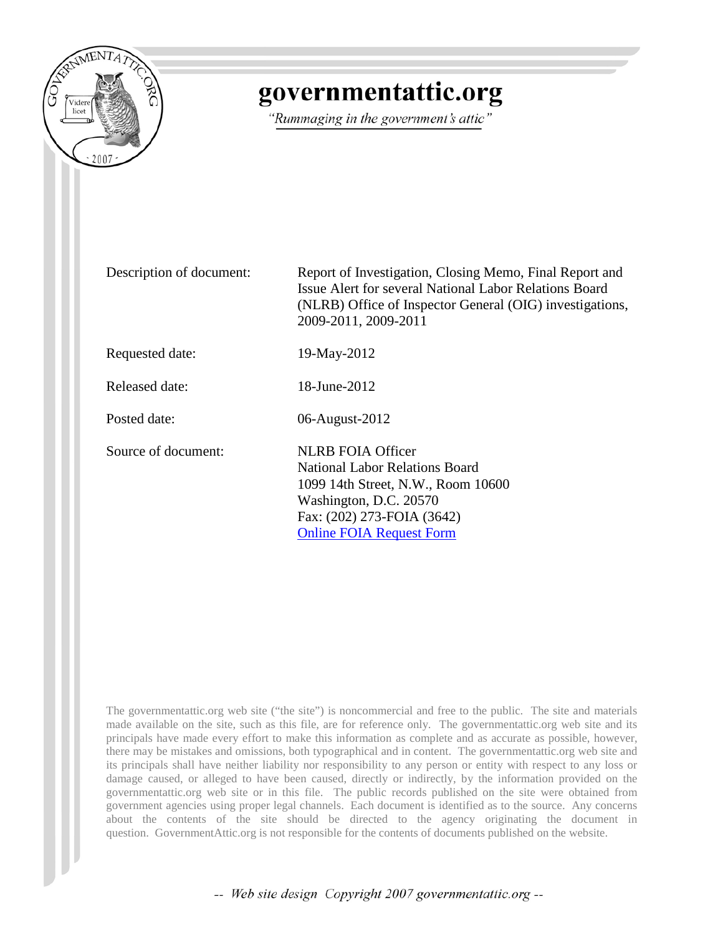

## governmentattic.org

"Rummaging in the government's attic"

Description of document: Report of Investigation, Closing Memo, Final Report and Issue Alert for several National Labor Relations Board (NLRB) Office of Inspector General (OIG) investigations, 2009-2011, 2009-2011

Requested date: 19-May-2012

Released date: 18-June-2012

Posted date: 06-August-2012

Source of document: NLRB FOIA Officer

National Labor Relations Board 1099 14th Street, N.W., Room 10600 Washington, D.C. 20570 Fax: (202) 273-FOIA (3642) [Online FOIA Request Form](http://www.nlrb.gov/e-foia-request-form)

The governmentattic.org web site ("the site") is noncommercial and free to the public. The site and materials made available on the site, such as this file, are for reference only. The governmentattic.org web site and its principals have made every effort to make this information as complete and as accurate as possible, however, there may be mistakes and omissions, both typographical and in content. The governmentattic.org web site and its principals shall have neither liability nor responsibility to any person or entity with respect to any loss or damage caused, or alleged to have been caused, directly or indirectly, by the information provided on the governmentattic.org web site or in this file. The public records published on the site were obtained from government agencies using proper legal channels. Each document is identified as to the source. Any concerns about the contents of the site should be directed to the agency originating the document in question. GovernmentAttic.org is not responsible for the contents of documents published on the website.

-- Web site design Copyright 2007 governmentattic.org --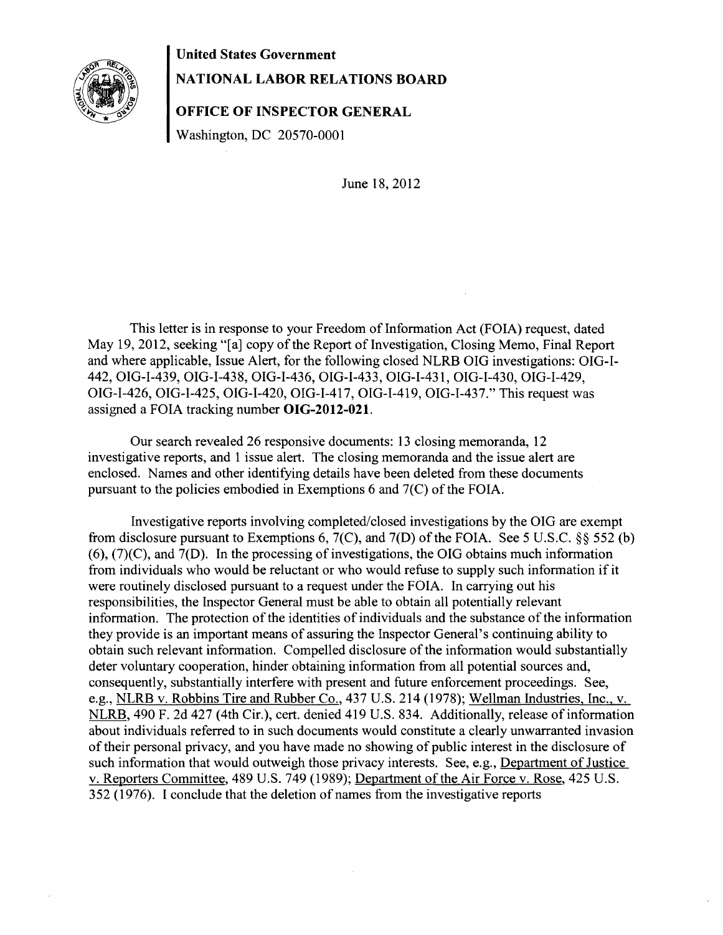

## **United States Government**

## **NATIONAL LABOR RELATIONS BOARD**

**OFFICE OF INSPECTOR GENERAL** 

Washington, DC 20570-0001

June 18,2012

This letter is in response to your Freedom of Information Act (FOIA) request, dated May 19,2012, seeking "[a] copy of the Report of Investigation, Closing Memo, Final Report and where applicable, Issue Alert, for the following closed NLRB OIG investigations: OIG-1- 442, OIG-1-439, OIG-1-438, OIG-1-436, OIG-1-433, OIG-1-431, OIG-1-430, OIG-1-429, OIG-1-426, OIG-1-425, OIG-1-420, OIG-1-417, OIG-1-419, OIG-1-437." This request was assigned a FOIA tracking number **OIG-2012-021.** 

Our search revealed 26 responsive documents: 13 closing memoranda, 12 investigative reports, and 1 issue alert. The closing memoranda and the issue alert are enclosed. Names and other identifying details have been deleted from these documents pursuant to the policies embodied in Exemptions 6 and 7(C) of the FOIA.

Investigative reports involving completed/closed investigations by the OIG are exempt from disclosure pursuant to Exemptions 6, 7(C), and 7(D) of the FOIA. See 5 U.S.C. §§ 552 (b)  $(6)$ ,  $(7)(C)$ , and  $7(D)$ . In the processing of investigations, the OIG obtains much information from individuals who would be reluctant or who would refuse to supply such information if it were routinely disclosed pursuant to a request under the FOIA. In carrying out his responsibilities, the Inspector General must be able to obtain all potentially relevant information. The protection of the identities of individuals and the substance of the information they provide is an important means of assuring the Inspector General's continuing ability to obtain such relevant information. Compelled disclosure of the information would substantially deter voluntary cooperation, hinder obtaining information from all potential sources and, consequently, substantially interfere with present and future enforcement proceedings. See, e.g., NLRB v. Robbins Tire and Rubber Co., 437 U.S. 214 (1978); Wellman Industries, Inc., v. NLRB, 490 F. 2d 427 (4th Cir.), cert. denied 419 U.S. 834. Additionally, release of information about individuals referred to in such documents would constitute a clearly unwarranted invasion of their personal privacy, and you have made no showing of public interest in the disclosure of such information that would outweigh those privacy interests. See, e.g., Department of Justice v. Reporters Committee, 489 U.S. 749 (1989); Department of the Air Force v. Rose, 425 U.S. 352 (1976). I conclude that the deletion of names from the investigative reports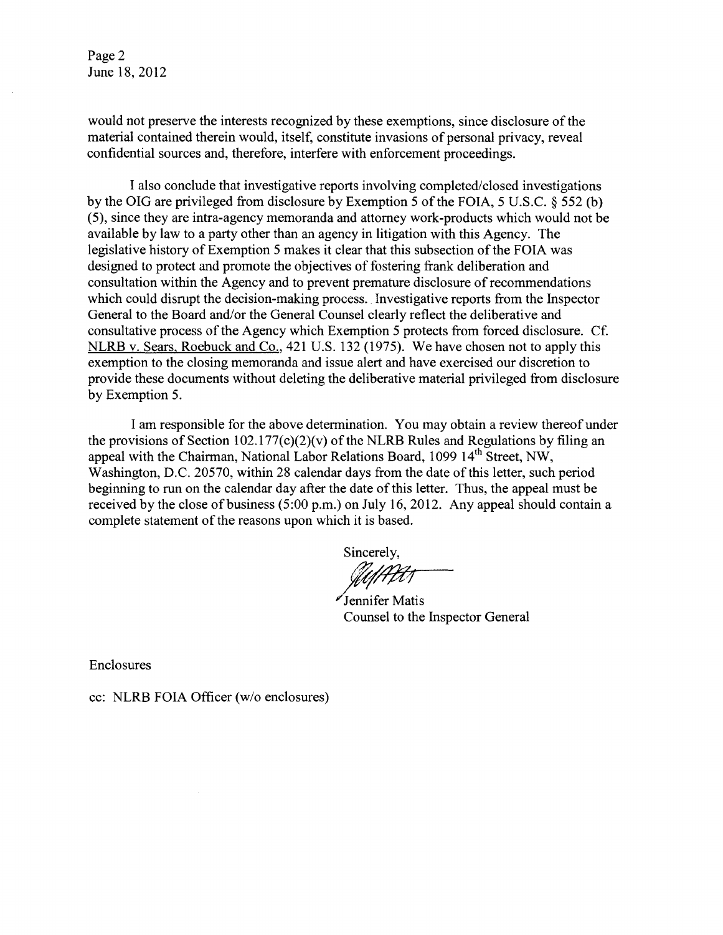Page 2 June 18, 2012

would not preserve the interests recognized by these exemptions, since disclosure of the material contained therein would, itself, constitute invasions of personal privacy, reveal confidential sources and, therefore, interfere with enforcement proceedings.

I also conclude that investigative reports involving completed/closed investigations by the OIG are privileged from disclosure by Exemption 5 of the FOIA, 5 U.S.C. § 552 (b) (5), since they are intra-agency memoranda and attorney work-products which would not be available by law to a party other than an agency in litigation with this Agency. The legislative history of Exemption 5 makes it clear that this subsection of the FOIA was designed to protect and promote the objectives of fostering frank deliberation and consultation within the Agency and to prevent premature disclosure of recommendations which could disrupt the decision-making process. Investigative reports from the Inspector General to the Board and/or the General Counsel clearly reflect the deliberative and consultative process of the Agency which Exemption 5 protects from forced disclosure. Cf. NLRB v. Sears, Roebuck and Co., 421 U.S. 132 (1975). We have chosen not to apply this exemption to the closing memoranda and issue alert and have exercised our discretion to provide these documents without deleting the deliberative material privileged from disclosure by Exemption 5.

I am responsible for the above determination. You may obtain a review thereof under the provisions of Section 102.177( $c$ )(2)( $v$ ) of the NLRB Rules and Regulations by filing an appeal with the Chairman, National Labor Relations Board, 1099 14<sup>th</sup> Street, NW, Washington, D.C. 20570, within 28 calendar days from the date of this letter, such period beginning to run on the calendar day after the date of this letter. Thus, the appeal must be received by the close of business  $(5:00 p.m.)$  on July 16, 2012. Any appeal should contain a complete statement of the reasons upon which it is based.

Sincerely, ftaftet

; Jennifer Matis Counsel to the Inspector General

Enclosures

cc: NLRB FOIA Officer (w/o enclosures)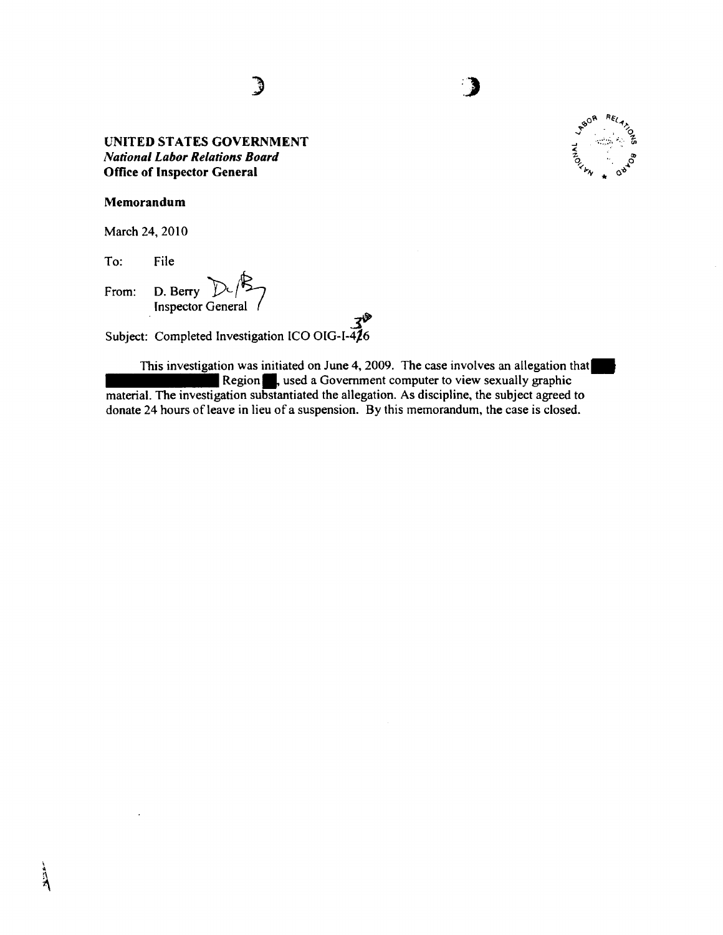)



### Memorandum

March 24, 2010

To: File

From: D. Berry  $D\left(\frac{1}{2}\right)$ <br>Subject: Completed Investigation ICO OIG-I-426

This investigation was initiated on June 4, 2009. The case involves an allegation that Region., used a Government computer to view sexually graphic material. The investigation substantiated the allegation. As discipline, the subject agreed to donate 24 hours of leave in lieu of a suspension. By this memorandum, the case is closed.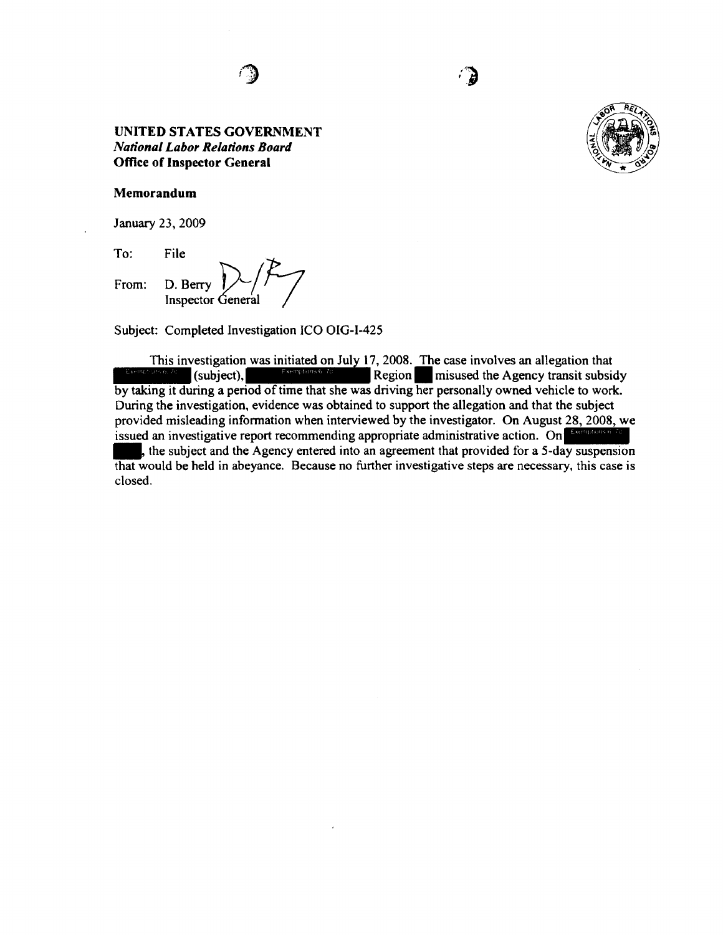*i-""'Z\*  ·~



#### **Memorandum**

January 23, 2009

To:

From: D. Berry  $\binom{p}{r}$ Inspector General

Subject: Completed Investigation ICO OIG-I-425

This investigation was initiated on July 17, 2008. The case involves an allegation that  $\frac{3256 \text{ N}}{256 \text{ N}}$  (subject),  $\frac{3256 \text{ N}}{256 \text{ N}}$  Region. misused the Agency transit subsidy by taking it during a period of time that she was driving her personally owned vehicle to work. During the investigation, evidence was obtained to support the allegation and that the subject provided misleading information when interviewed by the investigator. On August 28, 2008, we During the investigation, evidence was obtained to support the allegation and that the subject<br>provided misleading information when interviewed by the investigator. On August 28, 2008, we<br>issued an investigative report rec In issued an investigative report recommending appropriate administrative action. On  $\frac{E_{\text{comploss}}}{E_{\text{temploss}}}$ , the subject and the Agency entered into an agreement that provided for a 5-day suspension that would be held in abeyance. Because no further investigative steps are necessary, this case is closed.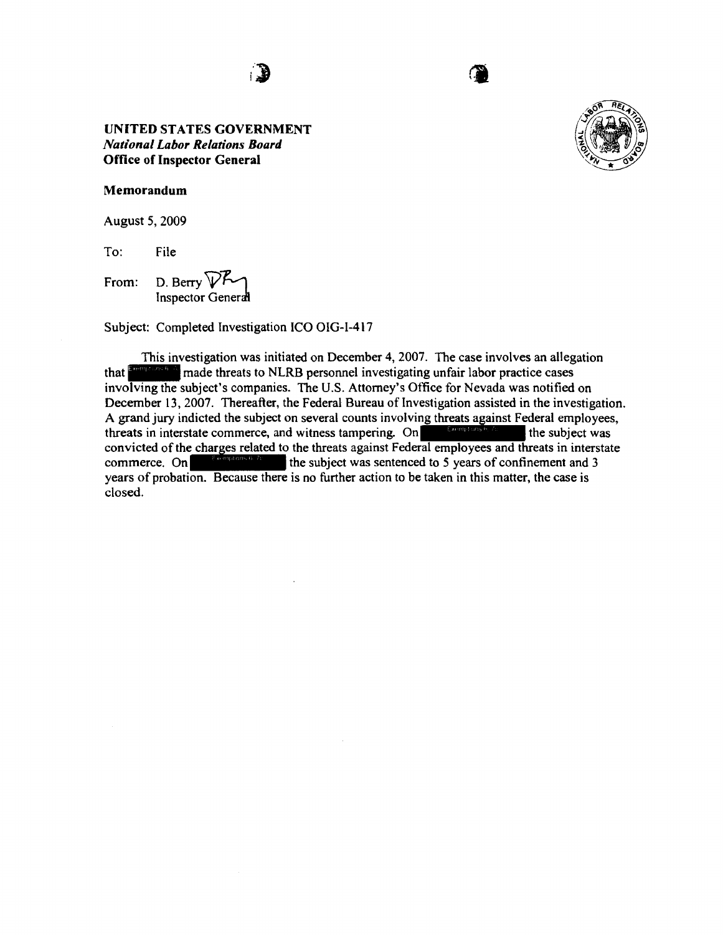



#### **Memorandum**

August 5, 2009

To: File

From: D. Berry  $\nabla P \gamma$ Inspector General

Subject: Completed Investigation ICO OIG-1-417

This investigation was initiated on December 4, 2007. The case involves an allegation that **Exercises 6.4** made threats to NLRB personnel investigating unfair labor practice cases involving the subject's companies. The U.S. Attorney's Office for Nevada was notified on December 13, 2007. Thereafter, the Federal Bureau of Investigation assisted in the investigation. A grand jury indicted the subject on several counts involving threats against Federal employees, threats in interstate commerce, and witness tampering. On the subject was convicted of the shapes related to the threats exci threats in interstate commerce, and witness tampering. On<br>convicted of the charges related to the threats against Federal employees and threats in interstate<br>commerce. On<br>wears of probation. Because there is no further act years of probation. Because there is no further action to be taken in this matter, the case is closed.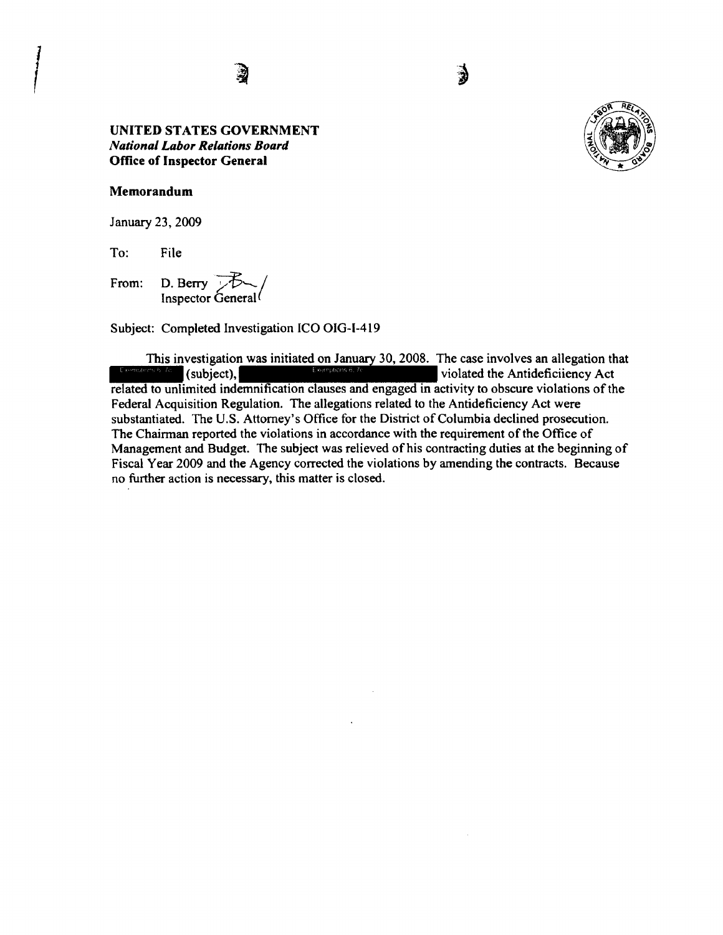

#### Memorandum

*l* 

January 23, 2009

To: File

From: D. Berry  $\overline{Z}$ Inspector General

Subject: Completed Investigation ICO OIG-1-419

This investigation was initiated on January 30, 2008. The case involves an allegation that violated the Antideficiiency Act  $(subic)$ , related to unlimited indemnification clauses and engaged in activity to obscure violations of the Federal Acquisition Regulation. The allegations related to the Antideficiency Act were substantiated. The U.S. Attorney's Office for the District of Columbia declined prosecution. The Chairman reported the violations in accordance with the requirement of the Office of Management and Budget. The subject was relieved of his contracting duties at the beginning of Fiscal Year 2009 and the Agency corrected the violations by amending the contracts. Because no further action is necessary, this matter is closed.

€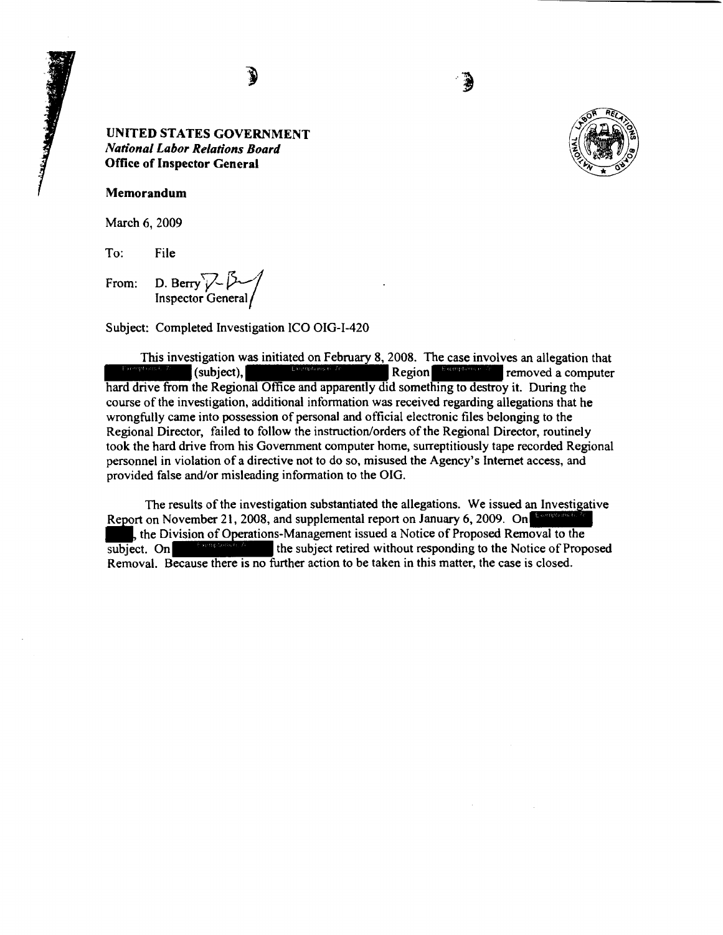

Î



Memorandum

March 6, 2009

To: File

From: D. Berry  $\sqrt{\frac{2}{\pi}}$ Inspector General

Subject: Completed Investigation ICO OIG-1-420

This investigation was initiated on February 8, 2008. The case involves an allegation that (subject),  $\begin{bmatrix} R_{\text{eff}} & R_{\text{eff}} & R_{\text{eff}} & R_{\text{eff}} \end{bmatrix}$  removed a computer hard drive from the Regional Office and apparently did something to destroy it. During the course of the investigation, additional information was received regarding allegations that he wrongfully came into possession of personal and official electronic files belonging to the Regional Director, failed to follow the instruction/orders of the Regional Director, routinely took the hard drive from his Government computer home, surreptitiously tape recorded Regional personnel in violation of a directive not to do so, misused the Agency's Internet access, and provided false and/or misleading information to the OIG.

The results of the investigation substantiated the allegations. We issued an Investigative Report on November 21, 2008, and supplemental report on January 6, 2009. On The results of the investigation substantiated the allegations. We issued an Investment on November 21, 2008, and supplemental report on January 6, 2009. On the Division of Operations-Management issued a Notice of Proposed subject. On<br>subject. On<br>the subject retired without responding to the Notice of Proposed<br>abject. On Removal. Because there is no further action to be taken in this matter, the case is closed.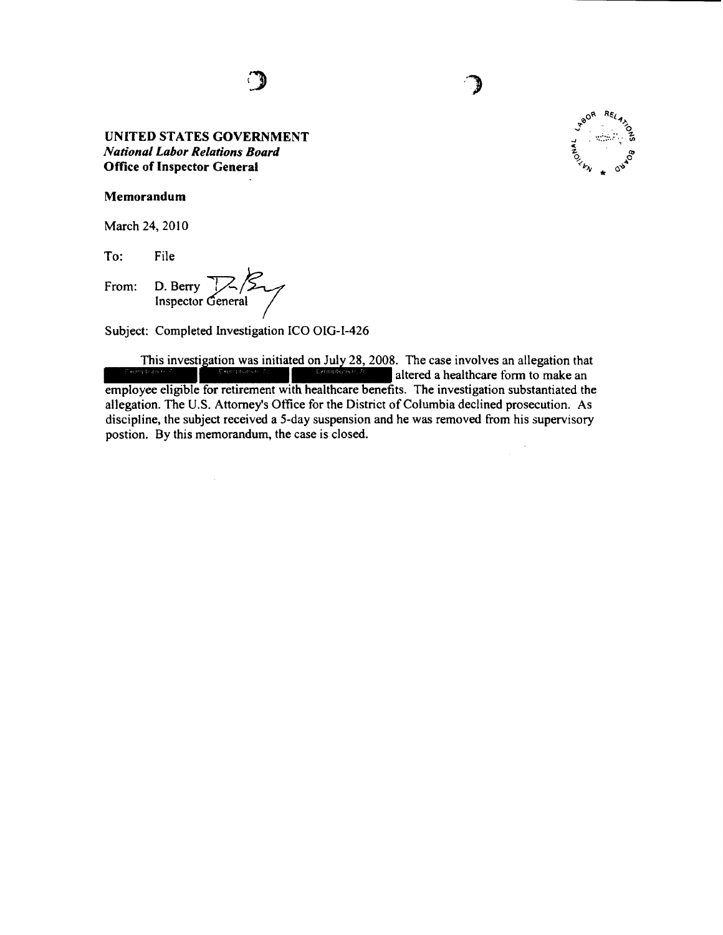

Memorandum

March 24, 2010

To: File

From: D. Berry  $\frac{1}{\sqrt{2}}\sqrt{2}$ 

Subject: Completed Investigation ICO OIG-1-426

This investigation was initiated on July 28, 2008. The case involves an allegation that  $\frac{1}{2}$ employee eligible for retirement with healthcare benefits. The investigation substantiated the allegation. The U.S. Attorney's Office for the District of Columbia declined prosecution. As discipline, the subject received a 5-day suspension and he was removed from his supervisory postion. By this memorandum, the case is closed.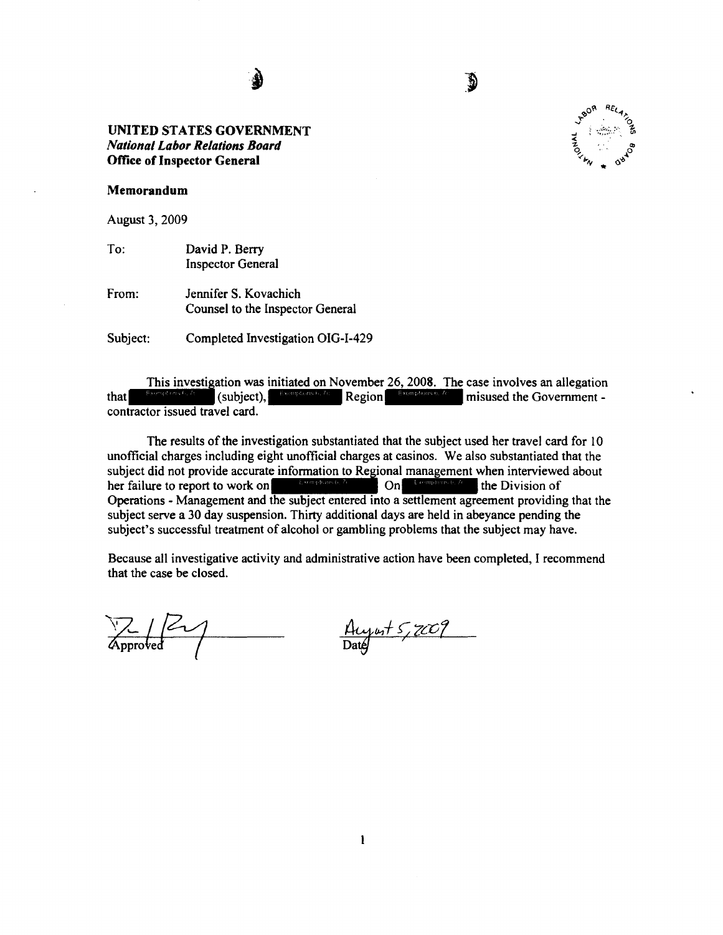d

#### **Memorandum**

August 3, 2009

- To: David P. Berry Inspector General
- From: Jennifer S. Kovachich Counsel to the Inspector General

Subject: Completed Investigation OIG-1-429

This investigation was initiated on November 26, 2008. The case involves an allegation  $\left\{\text{subject}\right\},\left\{\text{equations }b, 7c\right\}$  Region  $\left\{\text{Exemptons }b, 7c\right\}\right\}$  misused the Government that contractor issued travel card.

The results of the investigation substantiated that the subject used her travel card for 10 unofficial charges including eight unofficial charges at casinos. We also substantiated that the unoricial charges including eight unoricial charges at casinos. We also substantiated that the<br>subject did not provide accurate information to Regional management when interviewed about<br>her failure to report to work on the Operations - Management and the subject entered into a settlement agreement providing that the subject serve a 30 day suspension. Thirty additional days are held in abeyance pending the subject's successful treatment of alcohol or gambling problems that the subject may have.

Because all investigative activity and administrative action have been completed, I recommend that the case be closed.

 $\frac{1}{\text{Approved}}$ 

 $\frac{\text{Auyus} + 5,7009}{\text{Daug}}$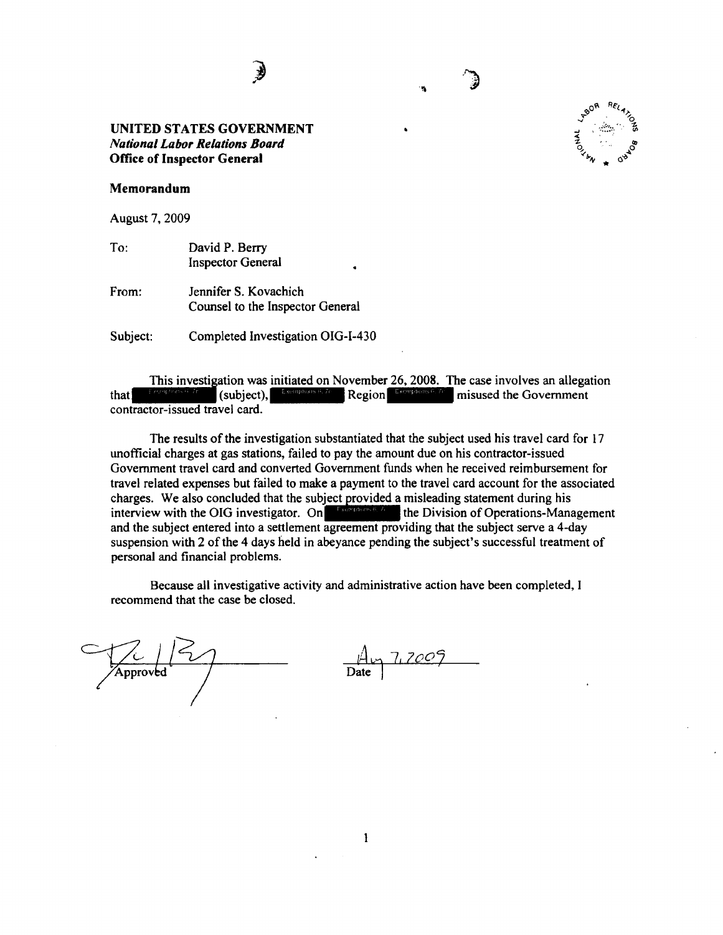€

#### Memorandum

August 7, 2009

To: David P. Berry Inspector General

From: Jennifer S. Kovachich Counsel to the Inspector General

Subject: Completed Investigation OIG-I-430

This investigation was initiated on November 26, 2008. The case involves an allegation that<br>that  $\begin{bmatrix} \text{Fermenous B, Z} \\ \text{Fermenous B, Z} \end{bmatrix}$  Region misused the Government contractor-issued travel card.

The results of the investigation substantiated that the subject used his travel card for 17 unofficial charges at gas stations, failed to pay the amount due on his contractor-issued Government travel card and converted Government funds when he received reimbursement for travel related expenses but failed to make a payment to the travel card account for the associated ravel related expenses but railed to make a payment to the travel card account for the associated charges. We also concluded that the subject provided a misleading statement during his interview with the OIG investigator. and the subject entered into a settlement agreement providing that the subject serve a 4-day suspension with 2 of the 4 days held in abeyance pending the subject's successful treatment of personal and financial problems.

Because all investigative activity and administrative action have been completed, I recommend that the case be closed.

| 'Approved | Date |
|-----------|------|
|           |      |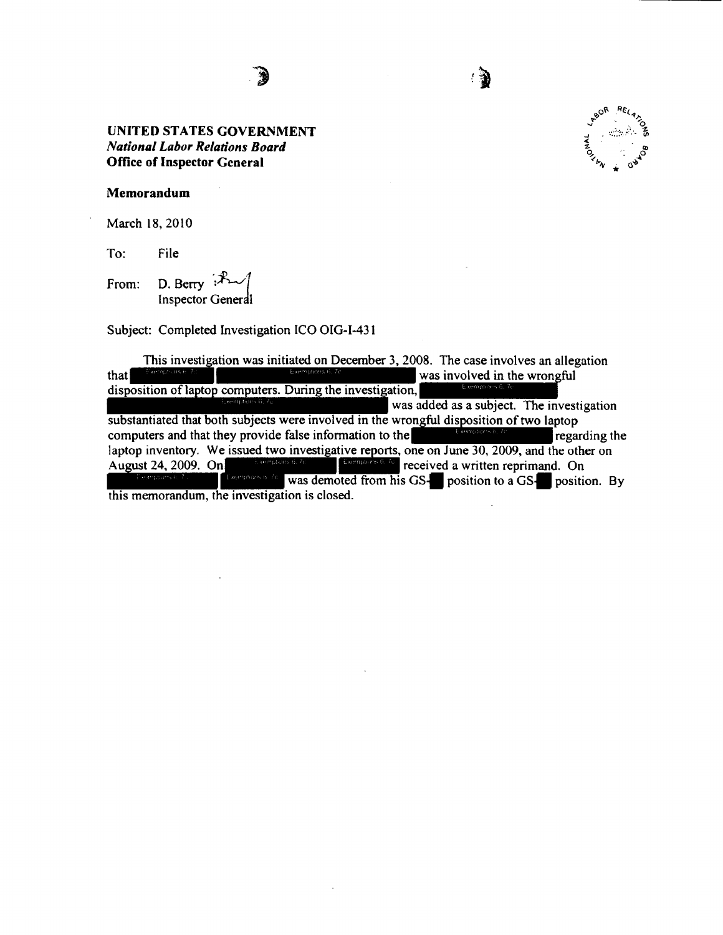

Memorandum

March 18, 2010

To: File

From: D. Berry  $\mathbb{R}$ Inspector General

Subject: Completed Investigation ICO OIG-1-431

This investigation was initiated on December 3, 2008. The case involves an allegation was involved in the wrongful that disposition of laptop computers. During the investigation, was added as a subject. The investigation substantiated that both subjects were involved in the wrongful disposition of two laptop computers and that they provide false information to the regarding the laptop inventory. We issued two investigative reports, one on June 30, 2009, and the other on Examples 6.6 received a written reprimand. On August 24, 2009. On Exercises a law was demoted from his GS-**T** position to a GS-**T** position. By this memorandum, the investigation is closed.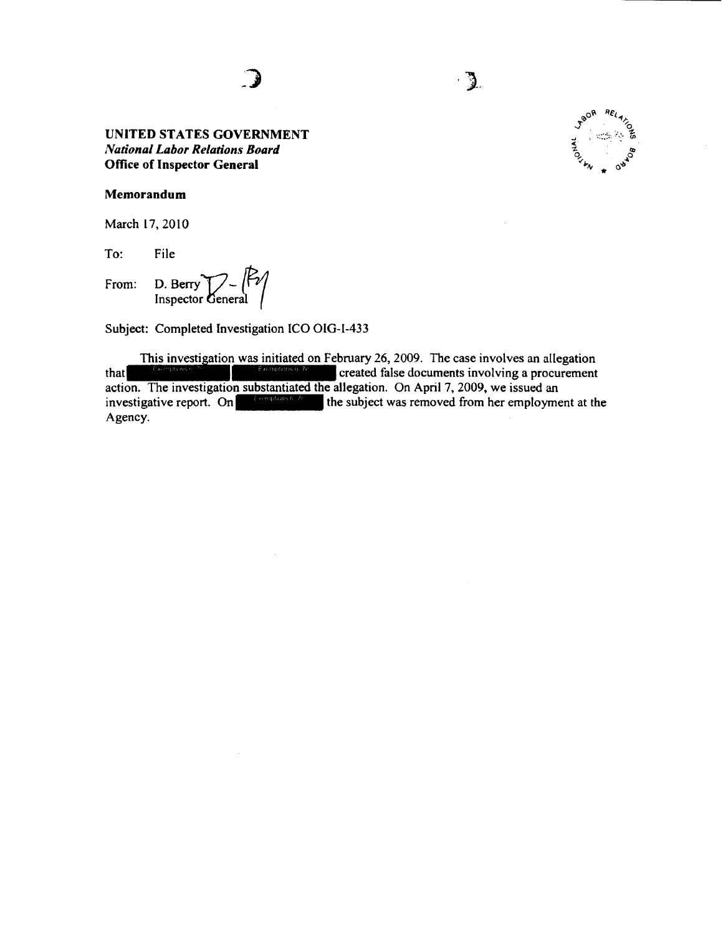$\cdot$  3.

#### **Memorandum**

March 17, 2010

To: File

From: D. Berry  $\sum_{\text{Inspector General}} P$ 

Subject: Completed Investigation ICO OIG-1-433

ext: Completed Investigation ICO OIG-1-433<br>This investigation was initiated on February 26, 2009. The case involves an allegation This investigation was initiated on February 26, 2009. The case involves an allegation<br>that<br> $\begin{bmatrix} 1 & 0 & 0 \\ 0 & 0 & 0 \end{bmatrix}$  created false documents involving a procurement action. The investigation substantiated the allegation. On April 7, 2009, we issued an investigative report. On  $\mathbb{R}^m$  the subject was removed from her employment at the Agency.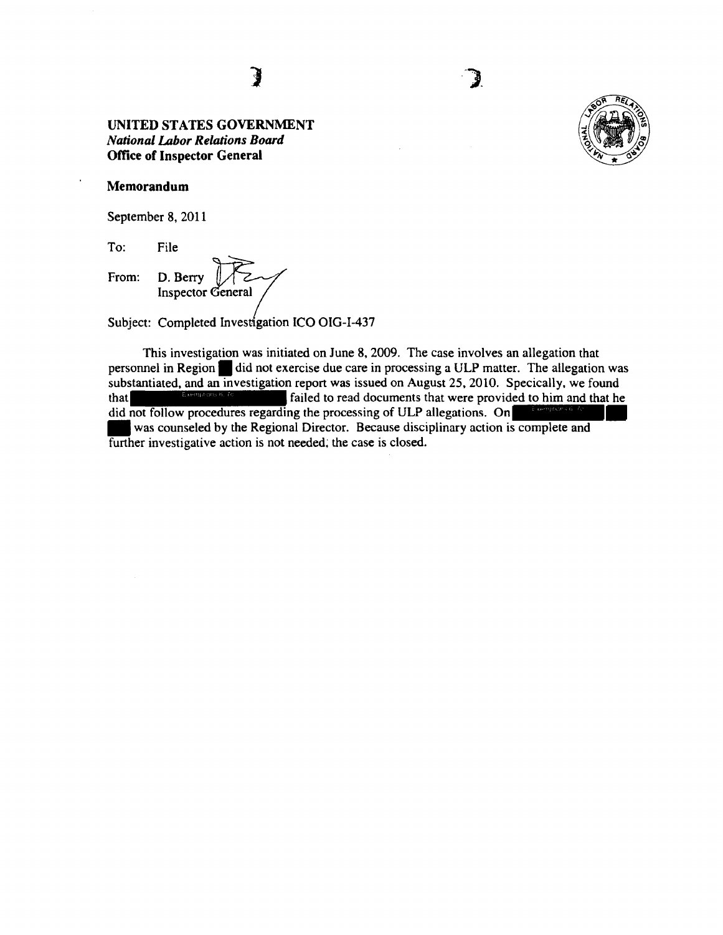#### **Memorandum**

September 8, 2011

To: File

To: File<br>From: D. Berry **D. Perry Inspector General** 

Subject: Completed Investigation ICO OIG-I-437

This investigation was initiated on June 8, 2009. The case involves an allegation that personnel in Region. did not exercise due care in processing a ULP matter. The allegation was substantiated, and an investigation report was issued on August 25, 2010. Specically, we found<br>that  $\frac{1}{2}$  follows a failed to read documents that were provided to him and that he that **failed** to read documents that were provided to him and that he did not follow procedures regarding the processing of ULP allegations. On was counseled by the Regional Director. Because disciplinary action is complete and further investigative action is not needed; the case is closed.



## **1**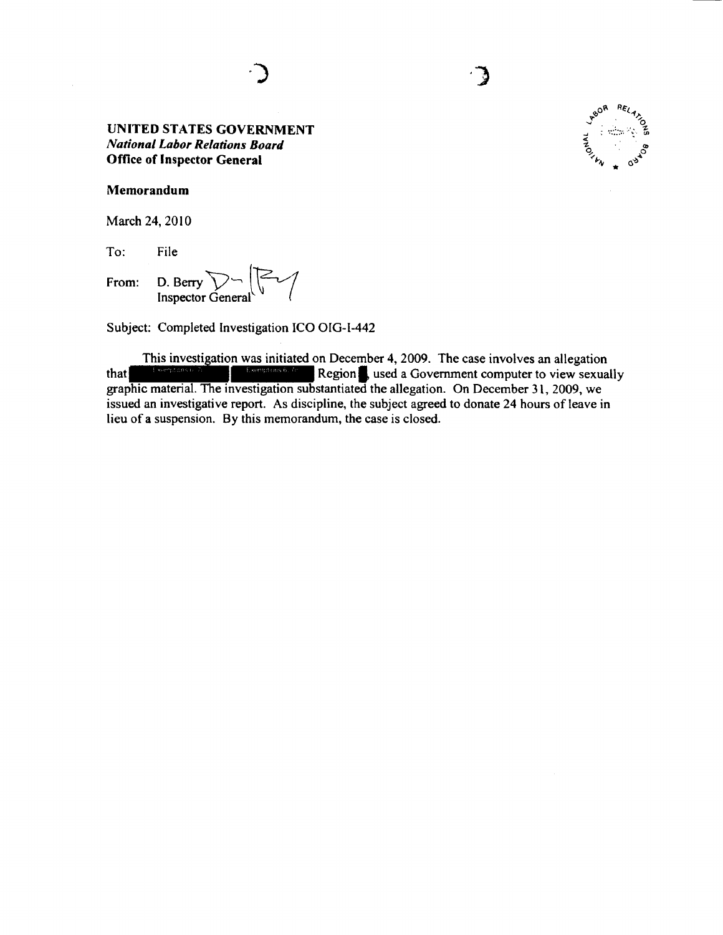#### Memorandum

March 24, 2010

To: File

From: D. Berry  $\sum_{\text{Inspector General}}$ 

Subject: Completed Investigation ICO OlG-1-442

This investigation was initiated on December 4, 2009. The case involves an allegation This investigation was initiated on December 4, 2009. The case involves an allegation<br>that<br>graphic material. The investigation substantiated the allegation. On December 31, 2009, we issued an investigative report. As discipline, the subject agreed to donate 24 hours of leave in lieu of a suspension. By this memorandum, the case is closed.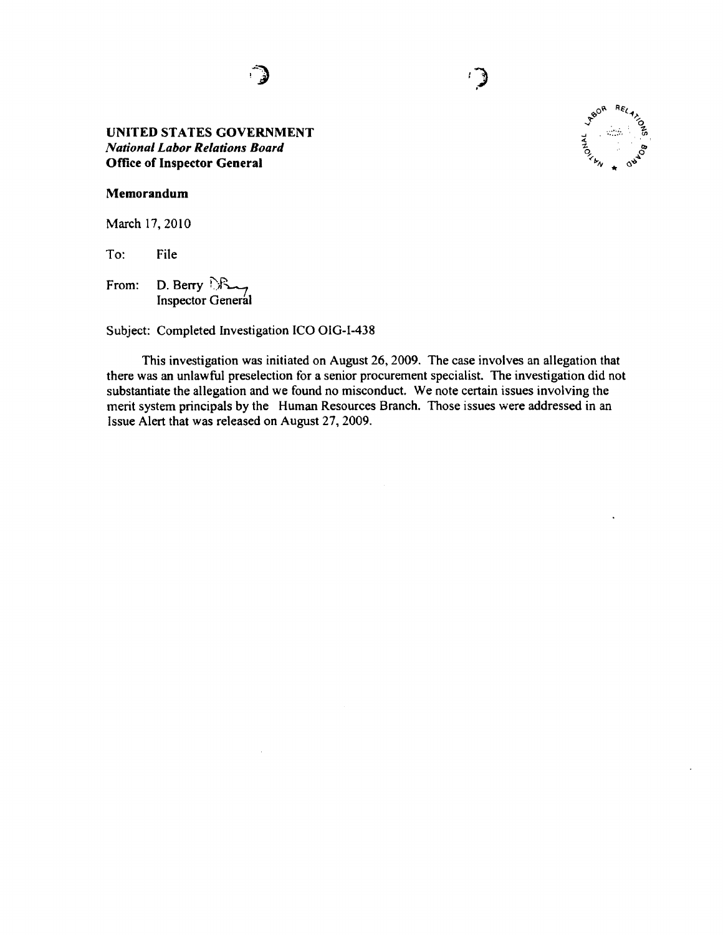! J  $\sum_{i=1}^n$ 



#### Memorandum

March 17, 2010

To: File

From: D. Berry  $\mathbb{R}_{\rightarrow}$ Inspector General

Subject: Completed Investigation ICO OIG-1-438

This investigation was initiated on August 26, 2009. The case involves an allegation that there was an unlawful preselection for a senior procurement specialist. The investigation did not substantiate the allegation and we found no misconduct. We note certain issues involving the merit system principals by the Human Resources Branch. Those issues were addressed in an Issue Alert that was released on August 27, 2009.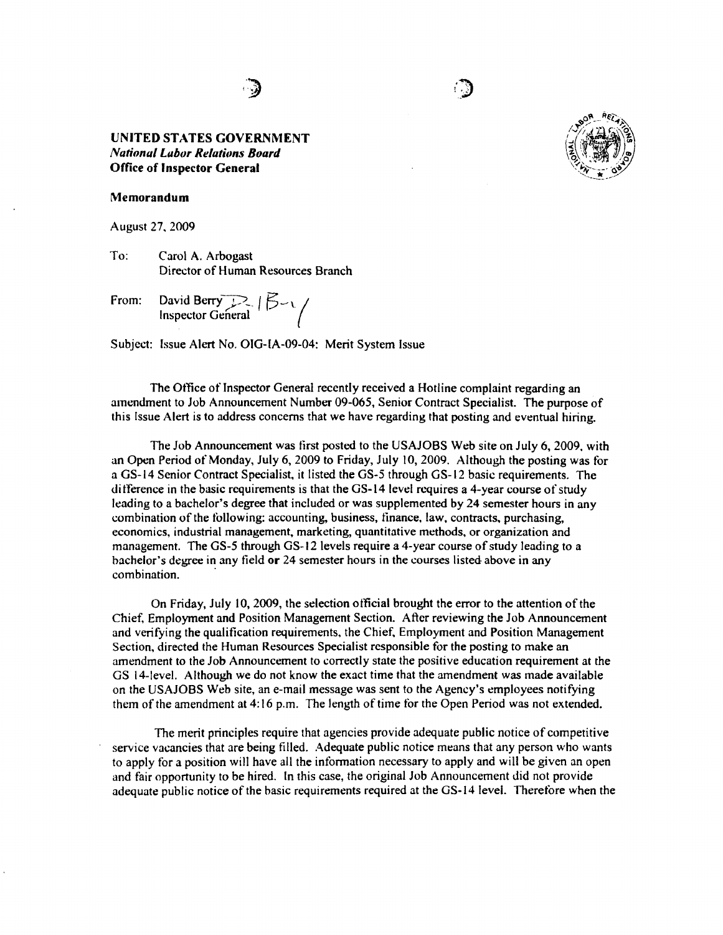

#### Memorandum

August 27, 2009

To: Carol A. Arbogast Director of Human Resources Branch

From: David Berry ;  $\mathbb{R}$  |  $\mathbb{B}$  - \.

Subject: Issue Alert No. OIG-lA-09-04: Merit System Issue

The Office of Inspector General recently received a Hotline complaint regarding an amendment to Job Announcement Number 09-065, Senior Contract Specialist. The purpose of this Issue Alert is to address concerns that we have regarding that posting and eventual hiring.

The Job Announcement was first posted to the USAJOBS Web site on July 6, 2009, with an Open Period of Monday, July 6, 2009 to Friday, July 10, 2009. Although the posting was for a GS-14 Senior Contract Specialist, it listed the GS-5 through GS-12 basic requirements. The di tference in the basic requirements is that the GS-14 level requires a 4-year course of study leading to a bachelor's degree that included or was supplemented by 24 semester hours in any combination of the following: accounting. business, finance, law, contracts, purchasing, economics, industrial management, marketing, quantitative methods, or organization and management. The GS-5 through GS-12 levels require a 4-year course of study leading to a bachelor's degree in any tield or 24 semester hours in the courses listed above in any combination.

On Friday, July 10, 2009, the sdection otftcial brought the error to the attention of the Chief, Employment and Position Management Section. After reviewing the Job Announcement and verifying the qualification requirements, the Chief, Employment and Position Management Section, directed the Human Resources Specialist responsible for the posting to make an amendment to the Job Announcement to correctly state the positive education requirement at the GS 14-level. Although we do not know the exact time that the amendment was made available on the USAJOBS Web site, an e-mail message was sent to the Agency's employees notifying them of the amendment at 4:16 p.m. The length of time for the Open Period was not extended.

The merit principles require that agencies provide adequate public notice of competitive service vacancies that are being filled. Adequate public notice means that any person who wants to apply for a position will have all the information necessary to apply and will be given an open and fair opportunity to be hired. In this case, the original Job Announcement did not provide adequate public notice of the basic requirements required at the GS-14 level. Therefore when the